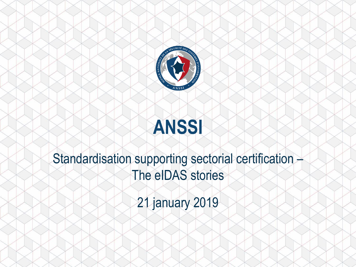

# **ANSSI**

## Standardisation supporting sectorial certification -The eIDAS stories

21 january 2019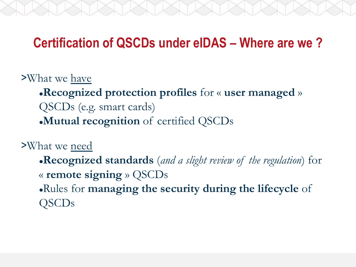### **Certification of QSCDs under eIDAS – Where are we ?**

>What we have

**Recognized protection profiles** for « **user managed** » QSCDs (e.g. smart cards) **Mutual recognition** of certified QSCDs

>What we need

**Recognized standards** (*and a slight review of the regulation*) for « **remote signing** » QSCDs Rules for **managing the security during the lifecycle** of QSCDs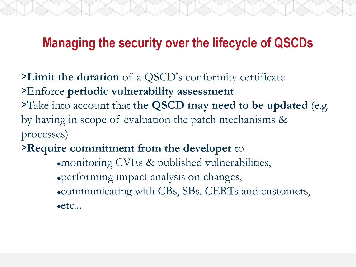### **Managing the security over the lifecycle of QSCDs**

>**Limit the duration** of a QSCD's conformity certificate >Enforce **periodic vulnerability assessment** >Take into account that **the QSCD may need to be updated** (e.g. by having in scope of evaluation the patch mechanisms & processes)

>**Require commitment from the developer** to

monitoring CVEs & published vulnerabilities, performing impact analysis on changes, communicating with CBs, SBs, CERTs and customers, etc...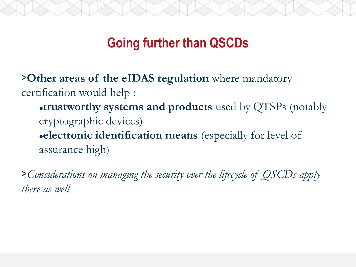### **Going further than QSCDs**

>**Other areas of the eIDAS regulation** where mandatory certification would help :

**trustworthy systems and products** used by QTSPs (notably cryptographic devices) **electronic identification means** (especially for level of assurance high)

>*Considerations on managing the security over the lifecycle of QSCDs apply there as well*